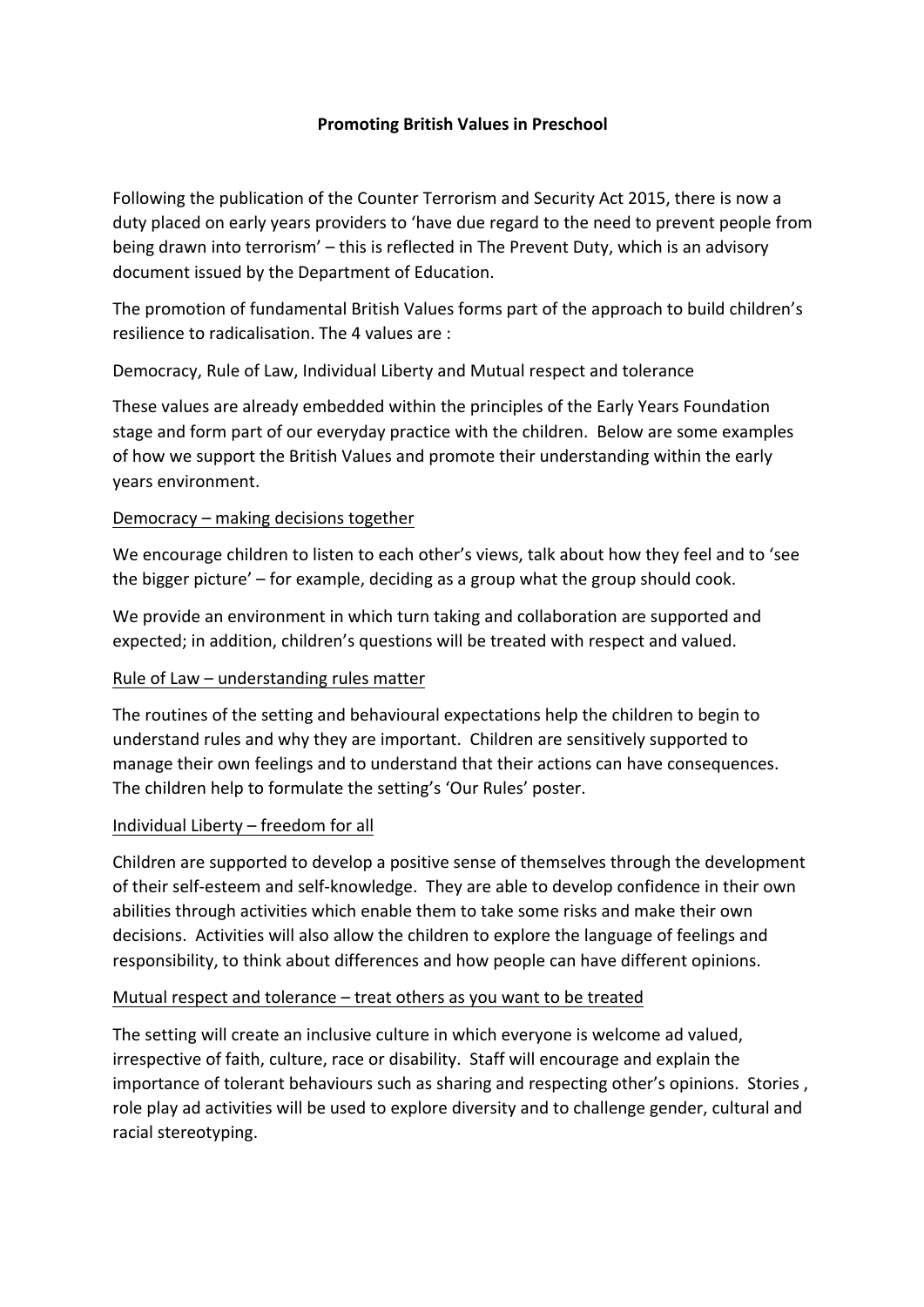### **Promoting British Values in Preschool**

Following the publication of the Counter Terrorism and Security Act 2015, there is now a duty placed on early years providers to 'have due regard to the need to prevent people from being drawn into terrorism' – this is reflected in The Prevent Duty, which is an advisory document issued by the Department of Education.

The promotion of fundamental British Values forms part of the approach to build children's resilience to radicalisation. The 4 values are :

Democracy, Rule of Law, Individual Liberty and Mutual respect and tolerance

These values are already embedded within the principles of the Early Years Foundation stage and form part of our everyday practice with the children. Below are some examples of how we support the British Values and promote their understanding within the early years environment.

### Democracy – making decisions together

We encourage children to listen to each other's views, talk about how they feel and to 'see the bigger picture'  $-$  for example, deciding as a group what the group should cook.

We provide an environment in which turn taking and collaboration are supported and expected; in addition, children's questions will be treated with respect and valued.

# Rule of Law  $-$  understanding rules matter

The routines of the setting and behavioural expectations help the children to begin to understand rules and why they are important. Children are sensitively supported to manage their own feelings and to understand that their actions can have consequences. The children help to formulate the setting's 'Our Rules' poster.

# Individual Liberty  $-$  freedom for all

Children are supported to develop a positive sense of themselves through the development of their self-esteem and self-knowledge. They are able to develop confidence in their own abilities through activities which enable them to take some risks and make their own decisions. Activities will also allow the children to explore the language of feelings and responsibility, to think about differences and how people can have different opinions.

# Mutual respect and tolerance  $-$  treat others as you want to be treated

The setting will create an inclusive culture in which everyone is welcome ad valued, irrespective of faith, culture, race or disability. Staff will encourage and explain the importance of tolerant behaviours such as sharing and respecting other's opinions. Stories, role play ad activities will be used to explore diversity and to challenge gender, cultural and racial stereotyping.